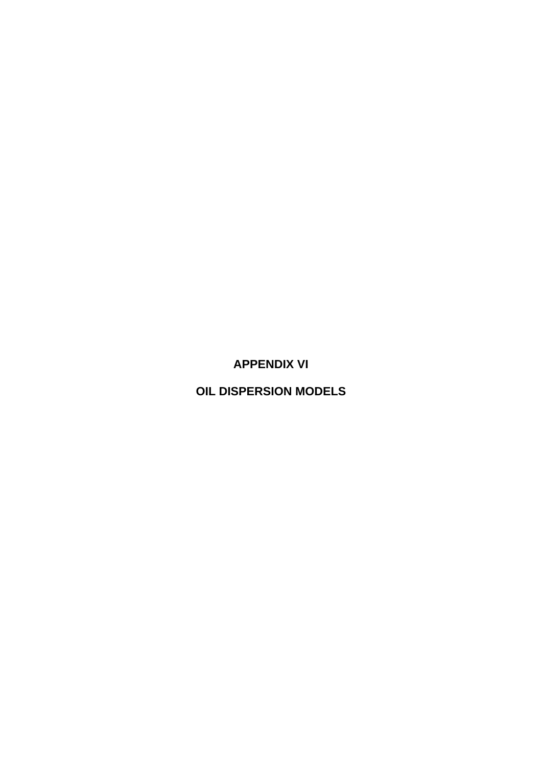**APPENDIX VI** 

**OIL DISPERSION MODELS**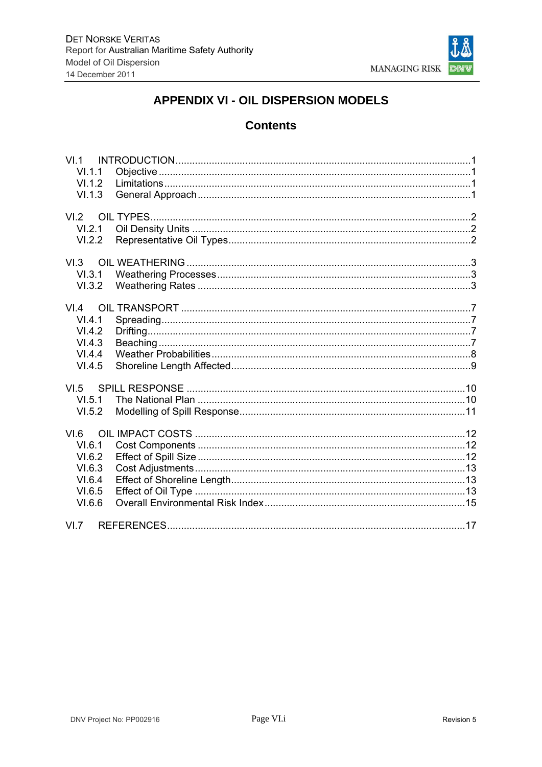

# **APPENDIX VI - OIL DISPERSION MODELS**

## **Contents**

| VI <sub>1</sub><br>VI.1.1<br>VI.1.2<br>VI.1.3                    |  |
|------------------------------------------------------------------|--|
| VI.2<br>VI.2.1<br>VI.2.2                                         |  |
| VI.3<br>VI.3.2                                                   |  |
| VI.4<br>VI.4.1<br>VI.4.2<br>VI.4.3<br>VI.4.4<br>VI.4.5           |  |
| VI.5<br>VI.5.1<br>VI.5.2                                         |  |
| VI.6<br>VI.6.1<br>VI.6.2<br>VI.6.3<br>VI.6.4<br>VI.6.5<br>VI.6.6 |  |
| VI.7                                                             |  |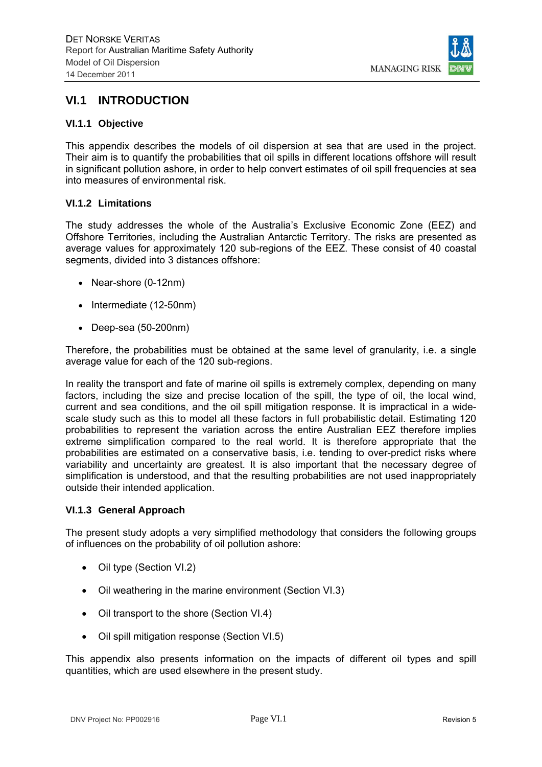

## **VI.1 INTRODUCTION**

#### **VI.1.1 Objective**

This appendix describes the models of oil dispersion at sea that are used in the project. Their aim is to quantify the probabilities that oil spills in different locations offshore will result in significant pollution ashore, in order to help convert estimates of oil spill frequencies at sea into measures of environmental risk.

#### **VI.1.2 Limitations**

The study addresses the whole of the Australia's Exclusive Economic Zone (EEZ) and Offshore Territories, including the Australian Antarctic Territory. The risks are presented as average values for approximately 120 sub-regions of the EEZ. These consist of 40 coastal segments, divided into 3 distances offshore:

- Near-shore (0-12nm)
- $\bullet$  Intermediate (12-50nm)
- Deep-sea (50-200nm)

Therefore, the probabilities must be obtained at the same level of granularity, i.e. a single average value for each of the 120 sub-regions.

In reality the transport and fate of marine oil spills is extremely complex, depending on many factors, including the size and precise location of the spill, the type of oil, the local wind, current and sea conditions, and the oil spill mitigation response. It is impractical in a widescale study such as this to model all these factors in full probabilistic detail. Estimating 120 probabilities to represent the variation across the entire Australian EEZ therefore implies extreme simplification compared to the real world. It is therefore appropriate that the probabilities are estimated on a conservative basis, i.e. tending to over-predict risks where variability and uncertainty are greatest. It is also important that the necessary degree of simplification is understood, and that the resulting probabilities are not used inappropriately outside their intended application.

#### **VI.1.3 General Approach**

The present study adopts a very simplified methodology that considers the following groups of influences on the probability of oil pollution ashore:

- Oil type (Section VI.2)
- Oil weathering in the marine environment (Section VI.3)
- Oil transport to the shore (Section VI.4)
- Oil spill mitigation response (Section VI.5)

This appendix also presents information on the impacts of different oil types and spill quantities, which are used elsewhere in the present study.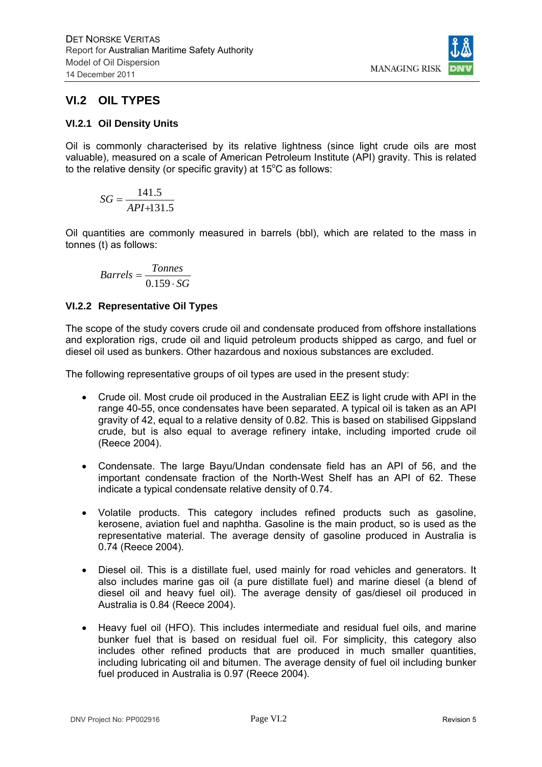**MANAGING RISK** 

## **VI.2 OIL TYPES**

### **VI.2.1 Oil Density Units**

Oil is commonly characterised by its relative lightness (since light crude oils are most valuable), measured on a scale of American Petroleum Institute (API) gravity. This is related to the relative density (or specific gravity) at  $15^{\circ}$ C as follows:

$$
SG = \frac{141.5}{API + 131.5}
$$

Oil quantities are commonly measured in barrels (bbl), which are related to the mass in tonnes (t) as follows:

$$
Barrels = \frac{Tonnes}{0.159 \cdot SG}
$$

### **VI.2.2 Representative Oil Types**

The scope of the study covers crude oil and condensate produced from offshore installations and exploration rigs, crude oil and liquid petroleum products shipped as cargo, and fuel or diesel oil used as bunkers. Other hazardous and noxious substances are excluded.

The following representative groups of oil types are used in the present study:

- Crude oil. Most crude oil produced in the Australian EEZ is light crude with API in the range 40-55, once condensates have been separated. A typical oil is taken as an API gravity of 42, equal to a relative density of 0.82. This is based on stabilised Gippsland crude, but is also equal to average refinery intake, including imported crude oil (Reece 2004).
- Condensate. The large Bayu/Undan condensate field has an API of 56, and the important condensate fraction of the North-West Shelf has an API of 62. These indicate a typical condensate relative density of 0.74.
- Volatile products. This category includes refined products such as gasoline, kerosene, aviation fuel and naphtha. Gasoline is the main product, so is used as the representative material. The average density of gasoline produced in Australia is 0.74 (Reece 2004).
- Diesel oil. This is a distillate fuel, used mainly for road vehicles and generators. It also includes marine gas oil (a pure distillate fuel) and marine diesel (a blend of diesel oil and heavy fuel oil). The average density of gas/diesel oil produced in Australia is 0.84 (Reece 2004).
- Heavy fuel oil (HFO). This includes intermediate and residual fuel oils, and marine bunker fuel that is based on residual fuel oil. For simplicity, this category also includes other refined products that are produced in much smaller quantities, including lubricating oil and bitumen. The average density of fuel oil including bunker fuel produced in Australia is 0.97 (Reece 2004).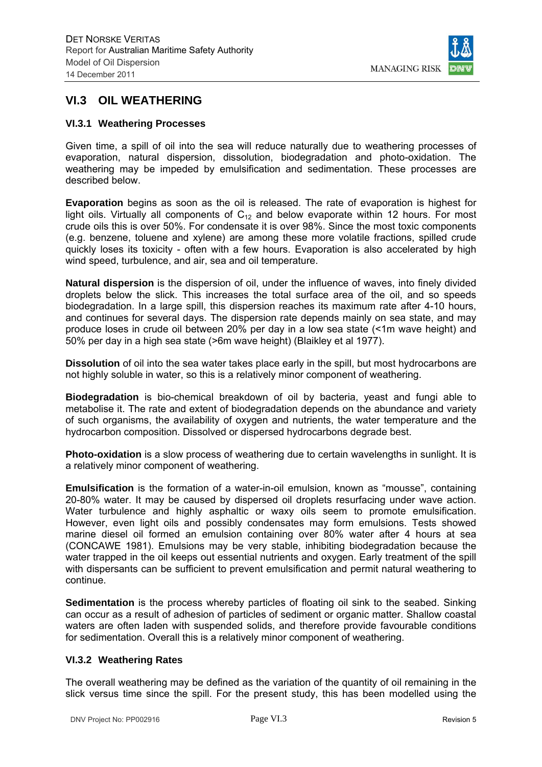

## **VI.3 OIL WEATHERING**

### **VI.3.1 Weathering Processes**

Given time, a spill of oil into the sea will reduce naturally due to weathering processes of evaporation, natural dispersion, dissolution, biodegradation and photo-oxidation. The weathering may be impeded by emulsification and sedimentation. These processes are described below.

**Evaporation** begins as soon as the oil is released. The rate of evaporation is highest for light oils. Virtually all components of  $C_{12}$  and below evaporate within 12 hours. For most crude oils this is over 50%. For condensate it is over 98%. Since the most toxic components (e.g. benzene, toluene and xylene) are among these more volatile fractions, spilled crude quickly loses its toxicity - often with a few hours. Evaporation is also accelerated by high wind speed, turbulence, and air, sea and oil temperature.

**Natural dispersion** is the dispersion of oil, under the influence of waves, into finely divided droplets below the slick. This increases the total surface area of the oil, and so speeds biodegradation. In a large spill, this dispersion reaches its maximum rate after 4-10 hours, and continues for several days. The dispersion rate depends mainly on sea state, and may produce loses in crude oil between 20% per day in a low sea state (<1m wave height) and 50% per day in a high sea state (>6m wave height) (Blaikley et al 1977).

**Dissolution** of oil into the sea water takes place early in the spill, but most hydrocarbons are not highly soluble in water, so this is a relatively minor component of weathering.

**Biodegradation** is bio-chemical breakdown of oil by bacteria, yeast and fungi able to metabolise it. The rate and extent of biodegradation depends on the abundance and variety of such organisms, the availability of oxygen and nutrients, the water temperature and the hydrocarbon composition. Dissolved or dispersed hydrocarbons degrade best.

**Photo-oxidation** is a slow process of weathering due to certain wavelengths in sunlight. It is a relatively minor component of weathering.

**Emulsification** is the formation of a water-in-oil emulsion, known as "mousse", containing 20-80% water. It may be caused by dispersed oil droplets resurfacing under wave action. Water turbulence and highly asphaltic or waxy oils seem to promote emulsification. However, even light oils and possibly condensates may form emulsions. Tests showed marine diesel oil formed an emulsion containing over 80% water after 4 hours at sea (CONCAWE 1981). Emulsions may be very stable, inhibiting biodegradation because the water trapped in the oil keeps out essential nutrients and oxygen. Early treatment of the spill with dispersants can be sufficient to prevent emulsification and permit natural weathering to continue.

**Sedimentation** is the process whereby particles of floating oil sink to the seabed. Sinking can occur as a result of adhesion of particles of sediment or organic matter. Shallow coastal waters are often laden with suspended solids, and therefore provide favourable conditions for sedimentation. Overall this is a relatively minor component of weathering.

#### **VI.3.2 Weathering Rates**

The overall weathering may be defined as the variation of the quantity of oil remaining in the slick versus time since the spill. For the present study, this has been modelled using the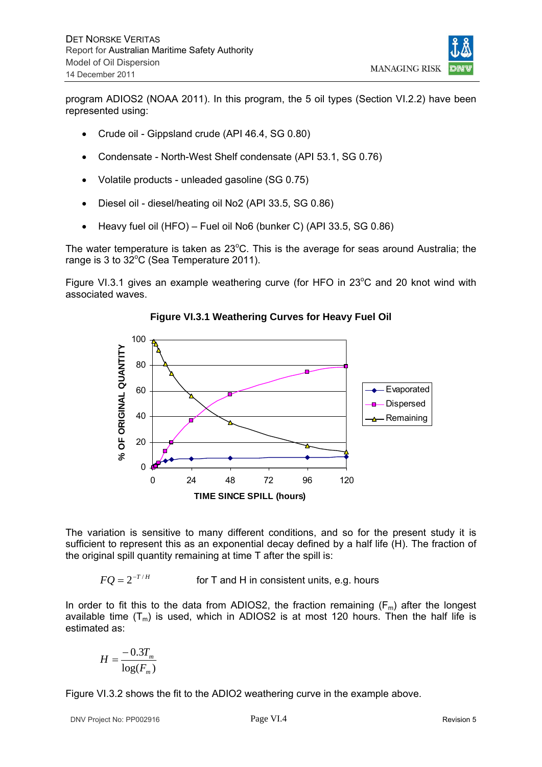**MANAGING RISK** 

program ADIOS2 (NOAA 2011). In this program, the 5 oil types (Section VI.2.2) have been represented using:

- Crude oil Gippsland crude (API 46.4, SG 0.80)
- Condensate North-West Shelf condensate (API 53.1, SG 0.76)
- Volatile products unleaded gasoline (SG 0.75)
- Diesel oil diesel/heating oil No2 (API 33.5, SG 0.86)
- Heavy fuel oil (HFO) Fuel oil No6 (bunker C) (API 33.5, SG 0.86)

The water temperature is taken as  $23^{\circ}$ C. This is the average for seas around Australia; the range is 3 to  $32^{\circ}$ C (Sea Temperature 2011).

Figure VI.3.1 gives an example weathering curve (for HFO in  $23^{\circ}$ C and 20 knot wind with associated waves.



**Figure VI.3.1 Weathering Curves for Heavy Fuel Oil** 

The variation is sensitive to many different conditions, and so for the present study it is sufficient to represent this as an exponential decay defined by a half life (H). The fraction of the original spill quantity remaining at time T after the spill is:

 $FO = 2^{-T/H}$  for T and H in consistent units, e.g. hours

In order to fit this to the data from ADIOS2, the fraction remaining  $(F_m)$  after the longest available time  $(T_m)$  is used, which in ADIOS2 is at most 120 hours. Then the half life is estimated as:

$$
H = \frac{-0.3T_m}{\log(F_m)}
$$

Figure VI.3.2 shows the fit to the ADIO2 weathering curve in the example above.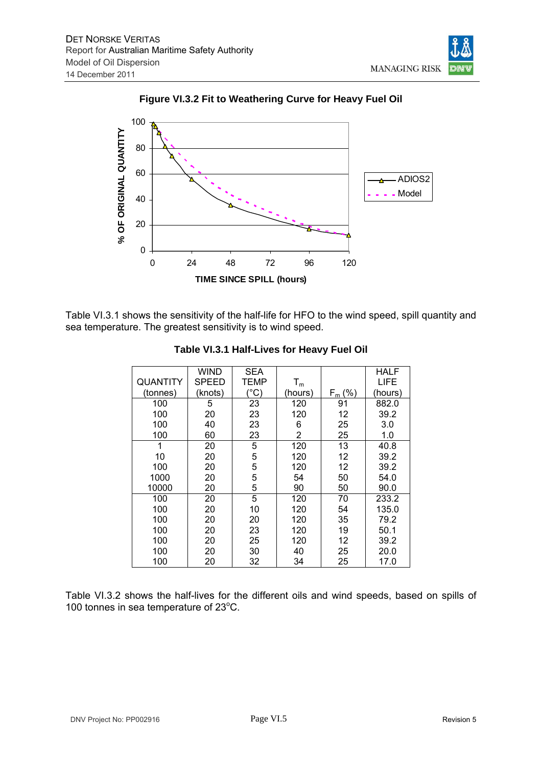

**Figure VI.3.2 Fit to Weathering Curve for Heavy Fuel Oil** 



Table VI.3.1 shows the sensitivity of the half-life for HFO to the wind speed, spill quantity and sea temperature. The greatest sensitivity is to wind speed.

|          | Wind    | <b>SEA</b> |                           |           | <b>HALF</b> |
|----------|---------|------------|---------------------------|-----------|-------------|
| QUANTITY | SPEED   | TEMP       | $\mathsf{T}_{\mathsf{m}}$ |           | LIFE        |
| (tonnes) | (knots) | (°C)       | (hours)                   | $F_m$ (%) | (hours)     |
| 100      | 5       | 23         | 120                       | 91        | 882.0       |
| 100      | 20      | 23         | 120                       | 12        | 39.2        |
| 100      | 40      | 23         | 6                         | 25        | 3.0         |
| 100      | 60      | 23         | 2                         | 25        | 1.0         |
| 1        | 20      | 5          | 120                       | 13        | 40.8        |
| 10       | 20      | 5          | 120                       | 12        | 39.2        |
| 100      | 20      | 5          | 120                       | 12        | 39.2        |
| 1000     | 20      | 5          | 54                        | 50        | 54.0        |
| 10000    | 20      | 5          | 90                        | 50        | 90.0        |
| 100      | 20      | 5          | 120                       | 70        | 233.2       |
| 100      | 20      | 10         | 120                       | 54        | 135.0       |
| 100      | 20      | 20         | 120                       | 35        | 79.2        |
| 100      | 20      | 23         | 120                       | 19        | 50.1        |
| 100      | 20      | 25         | 120                       | 12        | 39.2        |
| 100      | 20      | 30         | 40                        | 25        | 20.0        |
| 100      | 20      | 32         | 34                        | 25        | 17.0        |

**Table VI.3.1 Half-Lives for Heavy Fuel Oil** 

Table VI.3.2 shows the half-lives for the different oils and wind speeds, based on spills of 100 tonnes in sea temperature of 23°C.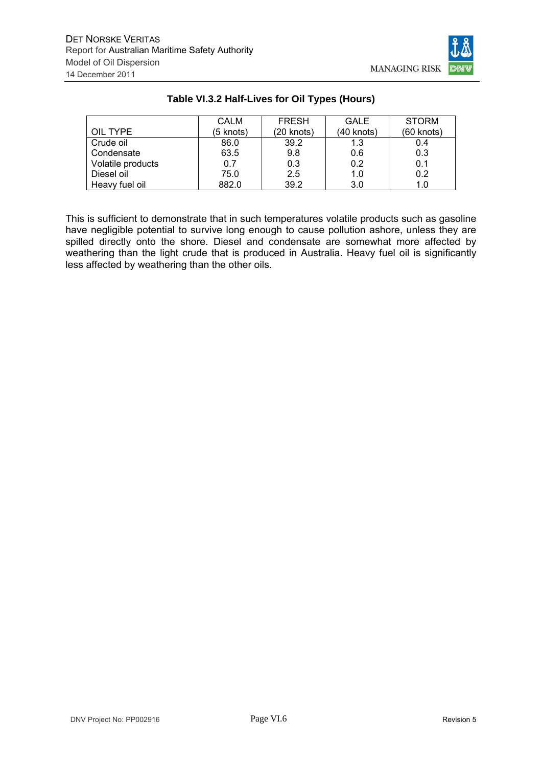

|                   | <b>CALM</b> | <b>FRESH</b> | <b>GALE</b> | <b>STORM</b> |
|-------------------|-------------|--------------|-------------|--------------|
| OIL TYPE          | (5 knots)   | (20 knots)   | (40 knots)  | $(60$ knots) |
| Crude oil         | 86.0        | 39.2         | 1.3         | 0.4          |
| Condensate        | 63.5        | 9.8          | 0.6         | 0.3          |
| Volatile products | 0.7         | 0.3          | 0.2         | 0.1          |
| Diesel oil        | 75.0        | 2.5          | 1.0         | 0.2          |
| Heavy fuel oil    | 882.0       | 39.2         | 3.0         | 1.0          |

## **Table VI.3.2 Half-Lives for Oil Types (Hours)**

This is sufficient to demonstrate that in such temperatures volatile products such as gasoline have negligible potential to survive long enough to cause pollution ashore, unless they are spilled directly onto the shore. Diesel and condensate are somewhat more affected by weathering than the light crude that is produced in Australia. Heavy fuel oil is significantly less affected by weathering than the other oils.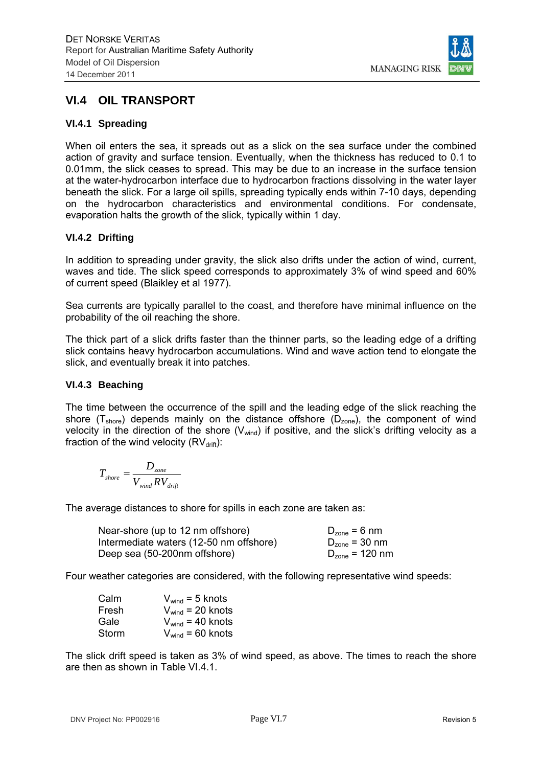

## **VI.4 OIL TRANSPORT**

## **VI.4.1 Spreading**

When oil enters the sea, it spreads out as a slick on the sea surface under the combined action of gravity and surface tension. Eventually, when the thickness has reduced to 0.1 to 0.01mm, the slick ceases to spread. This may be due to an increase in the surface tension at the water-hydrocarbon interface due to hydrocarbon fractions dissolving in the water layer beneath the slick. For a large oil spills, spreading typically ends within 7-10 days, depending on the hydrocarbon characteristics and environmental conditions. For condensate, evaporation halts the growth of the slick, typically within 1 day.

## **VI.4.2 Drifting**

In addition to spreading under gravity, the slick also drifts under the action of wind, current, waves and tide. The slick speed corresponds to approximately 3% of wind speed and 60% of current speed (Blaikley et al 1977).

Sea currents are typically parallel to the coast, and therefore have minimal influence on the probability of the oil reaching the shore.

The thick part of a slick drifts faster than the thinner parts, so the leading edge of a drifting slick contains heavy hydrocarbon accumulations. Wind and wave action tend to elongate the slick, and eventually break it into patches.

### **VI.4.3 Beaching**

The time between the occurrence of the spill and the leading edge of the slick reaching the shore  $(T_{\text{shore}})$  depends mainly on the distance offshore  $(D_{\text{zone}})$ , the component of wind velocity in the direction of the shore  $(V_{wind})$  if positive, and the slick's drifting velocity as a fraction of the wind velocity  $(RV<sub>drift</sub>)$ :

$$
T_{\text{shore}} = \frac{D_{\text{zone}}}{V_{\text{wind}} R V_{\text{drift}}}
$$

The average distances to shore for spills in each zone are taken as:

| Near-shore (up to 12 nm offshore)       | $D_{zone} = 6$ nm   |
|-----------------------------------------|---------------------|
| Intermediate waters (12-50 nm offshore) | $D_{zone}$ = 30 nm  |
| Deep sea (50-200nm offshore)            | $D_{zone}$ = 120 nm |

Four weather categories are considered, with the following representative wind speeds:

| Calm  | $V_{wind}$ = 5 knots  |
|-------|-----------------------|
| Fresh | $V_{wind}$ = 20 knots |
| Gale  | $V_{wind}$ = 40 knots |
| Storm | $V_{wind}$ = 60 knots |

The slick drift speed is taken as 3% of wind speed, as above. The times to reach the shore are then as shown in Table VI.4.1.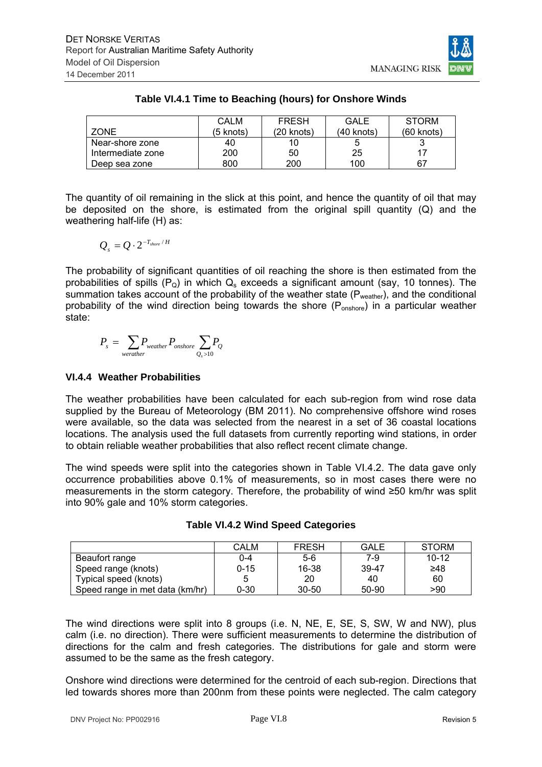

|                   | CAL M     | <b>FRESH</b> | <b>GALE</b> | <b>STORM</b> |
|-------------------|-----------|--------------|-------------|--------------|
| ZONE.             | (5 knots) | (20 knots)   | (40 knots)  | (60 knots)   |
| Near-shore zone   | 40        | 10           |             |              |
| Intermediate zone | 200       | 50           | 25          | 17           |
| Deep sea zone     | 800       | 200          | 100         | 67           |

## **Table VI.4.1 Time to Beaching (hours) for Onshore Winds**

The quantity of oil remaining in the slick at this point, and hence the quantity of oil that may be deposited on the shore, is estimated from the original spill quantity (Q) and the weathering half-life (H) as:

$$
Q_s = Q \cdot 2^{-T_{shore} / H}
$$

The probability of significant quantities of oil reaching the shore is then estimated from the probabilities of spills  $(P<sub>Q</sub>)$  in which  $Q<sub>s</sub>$  exceeds a significant amount (say, 10 tonnes). The summation takes account of the probability of the weather state (Pweather), and the conditional probability of the wind direction being towards the shore  $(P_{\text{onshore}})$  in a particular weather state:

$$
P_s = \sum_{\text{werather}} P_{\text{weather}} P_{\text{onshore}} \sum_{Q_s > 10} P_Q
$$

## **VI.4.4 Weather Probabilities**

The weather probabilities have been calculated for each sub-region from wind rose data supplied by the Bureau of Meteorology (BM 2011). No comprehensive offshore wind roses were available, so the data was selected from the nearest in a set of 36 coastal locations locations. The analysis used the full datasets from currently reporting wind stations, in order to obtain reliable weather probabilities that also reflect recent climate change.

The wind speeds were split into the categories shown in Table VI.4.2. The data gave only occurrence probabilities above 0.1% of measurements, so in most cases there were no measurements in the storm category. Therefore, the probability of wind ≥50 km/hr was split into 90% gale and 10% storm categories.

|                                 | <b>CALM</b> | <b>FRESH</b> | <b>GALE</b> | <b>STORM</b> |
|---------------------------------|-------------|--------------|-------------|--------------|
| Beaufort range                  | $0 - 4$     | $5-6$        | 7-9         | $10 - 12$    |
| Speed range (knots)             | $0 - 15$    | 16-38        | 39-47       | ≥48          |
| Typical speed (knots)           | 5           | 20           | 40          | 60           |
| Speed range in met data (km/hr) | $0 - 30$    | $30 - 50$    | 50-90       | >90          |

## **Table VI.4.2 Wind Speed Categories**

The wind directions were split into 8 groups (i.e. N, NE, E, SE, S, SW, W and NW), plus calm (i.e. no direction). There were sufficient measurements to determine the distribution of directions for the calm and fresh categories. The distributions for gale and storm were assumed to be the same as the fresh category.

Onshore wind directions were determined for the centroid of each sub-region. Directions that led towards shores more than 200nm from these points were neglected. The calm category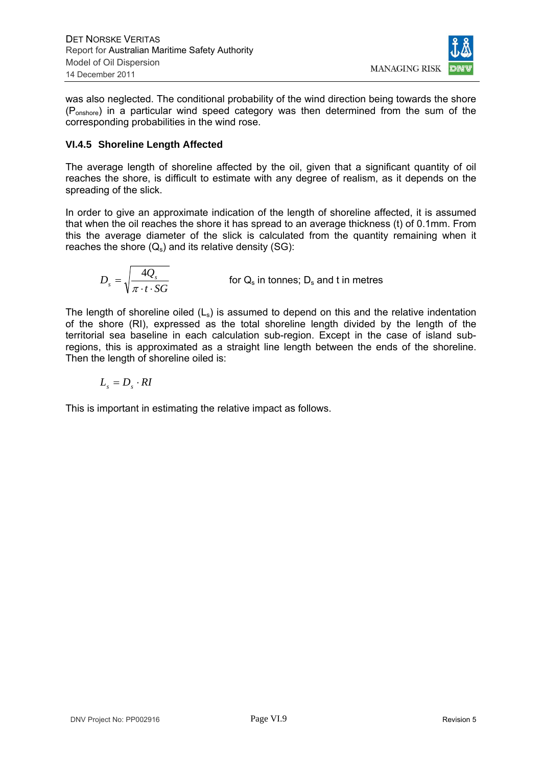

was also neglected. The conditional probability of the wind direction being towards the shore (Ponshore) in a particular wind speed category was then determined from the sum of the corresponding probabilities in the wind rose.

## **VI.4.5 Shoreline Length Affected**

The average length of shoreline affected by the oil, given that a significant quantity of oil reaches the shore, is difficult to estimate with any degree of realism, as it depends on the spreading of the slick.

In order to give an approximate indication of the length of shoreline affected, it is assumed that when the oil reaches the shore it has spread to an average thickness (t) of 0.1mm. From this the average diameter of the slick is calculated from the quantity remaining when it reaches the shore  $(Q_s)$  and its relative density (SG):

$$
D_s = \sqrt{\frac{4Q_s}{\pi \cdot t \cdot SG}}
$$
 for Q<sub>s</sub> in tonnes; D<sub>s</sub> and t in metres

The length of shoreline oiled  $(L<sub>s</sub>)$  is assumed to depend on this and the relative indentation of the shore (RI), expressed as the total shoreline length divided by the length of the territorial sea baseline in each calculation sub-region. Except in the case of island subregions, this is approximated as a straight line length between the ends of the shoreline. Then the length of shoreline oiled is:

$$
L_{s}=D_{s}\cdot RI
$$

This is important in estimating the relative impact as follows.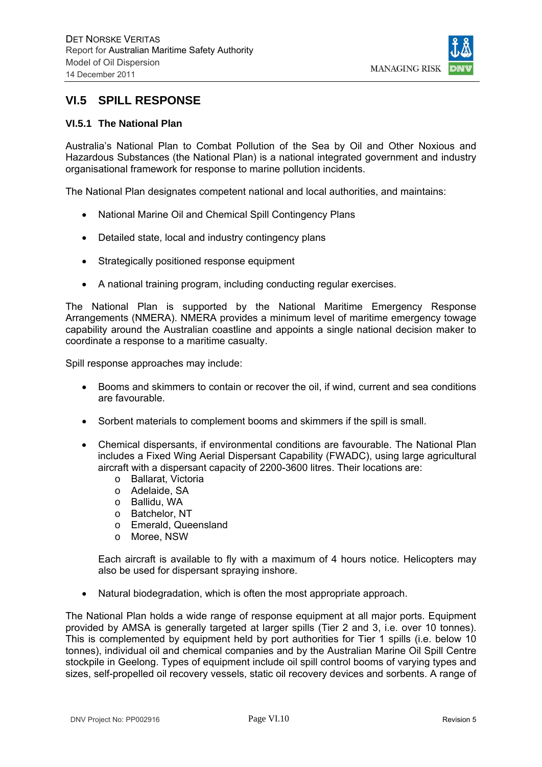

## **VI.5 SPILL RESPONSE**

#### **VI.5.1 The National Plan**

Australia's National Plan to Combat Pollution of the Sea by Oil and Other Noxious and Hazardous Substances (the National Plan) is a national integrated government and industry organisational framework for response to marine pollution incidents.

The National Plan designates competent national and local authorities, and maintains:

- National Marine Oil and Chemical Spill Contingency Plans
- Detailed state, local and industry contingency plans
- Strategically positioned response equipment
- A national training program, including conducting regular exercises.

The National Plan is supported by the National Maritime Emergency Response Arrangements (NMERA). NMERA provides a minimum level of maritime emergency towage capability around the Australian coastline and appoints a single national decision maker to coordinate a response to a maritime casualty.

Spill response approaches may include:

- Booms and skimmers to contain or recover the oil, if wind, current and sea conditions are favourable.
- Sorbent materials to complement booms and skimmers if the spill is small.
- Chemical dispersants, if environmental conditions are favourable. The National Plan includes a Fixed Wing Aerial Dispersant Capability (FWADC), using large agricultural aircraft with a dispersant capacity of 2200-3600 litres. Their locations are:
	- o Ballarat, Victoria
	- o Adelaide, SA
	- o Ballidu, WA
	- o Batchelor, NT
	- o Emerald, Queensland
	- o Moree, NSW

Each aircraft is available to fly with a maximum of 4 hours notice. Helicopters may also be used for dispersant spraying inshore.

• Natural biodegradation, which is often the most appropriate approach.

The National Plan holds a wide range of response equipment at all major ports. Equipment provided by AMSA is generally targeted at larger spills (Tier 2 and 3, i.e. over 10 tonnes). This is complemented by equipment held by port authorities for Tier 1 spills (i.e. below 10 tonnes), individual oil and chemical companies and by the Australian Marine Oil Spill Centre stockpile in Geelong. Types of equipment include oil spill control booms of varying types and sizes, self-propelled oil recovery vessels, static oil recovery devices and sorbents. A range of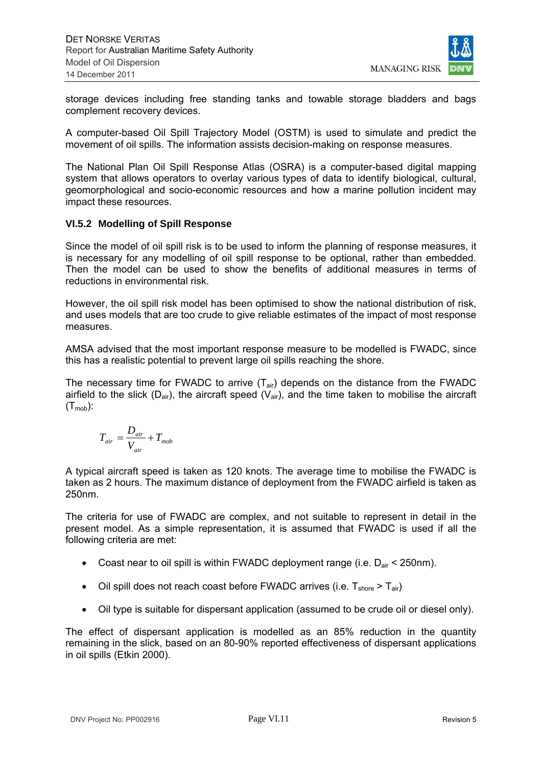

storage devices including free standing tanks and towable storage bladders and bags complement recovery devices.

A computer-based Oil Spill Trajectory Model (OSTM) is used to simulate and predict the movement of oil spills. The information assists decision-making on response measures.

The National Plan Oil Spill Response Atlas (OSRA) is a computer-based digital mapping system that allows operators to overlay various types of data to identify biological, cultural, geomorphological and socio-economic resources and how a marine pollution incident may impact these resources.

### **VI.5.2 Modelling of Spill Response**

Since the model of oil spill risk is to be used to inform the planning of response measures, it is necessary for any modelling of oil spill response to be optional, rather than embedded. Then the model can be used to show the benefits of additional measures in terms of reductions in environmental risk.

However, the oil spill risk model has been optimised to show the national distribution of risk, and uses models that are too crude to give reliable estimates of the impact of most response measures.

AMSA advised that the most important response measure to be modelled is FWADC, since this has a realistic potential to prevent large oil spills reaching the shore.

The necessary time for FWADC to arrive  $(T_{air})$  depends on the distance from the FWADC airfield to the slick ( $D_{air}$ ), the aircraft speed ( $V_{air}$ ), and the time taken to mobilise the aircraft  $(T_{\text{mob}})$ :

$$
T_{air} = \frac{D_{air}}{V_{air}} + T_{mob}
$$

A typical aircraft speed is taken as 120 knots. The average time to mobilise the FWADC is taken as 2 hours. The maximum distance of deployment from the FWADC airfield is taken as 250nm.

The criteria for use of FWADC are complex, and not suitable to represent in detail in the present model. As a simple representation, it is assumed that FWADC is used if all the following criteria are met:

- Coast near to oil spill is within FWADC deployment range (i.e.  $D_{air}$  < 250nm).
- Oil spill does not reach coast before FWADC arrives (i.e.  $T_{\text{shore}} > T_{\text{air}}$ )
- Oil type is suitable for dispersant application (assumed to be crude oil or diesel only).

The effect of dispersant application is modelled as an 85% reduction in the quantity remaining in the slick, based on an 80-90% reported effectiveness of dispersant applications in oil spills (Etkin 2000).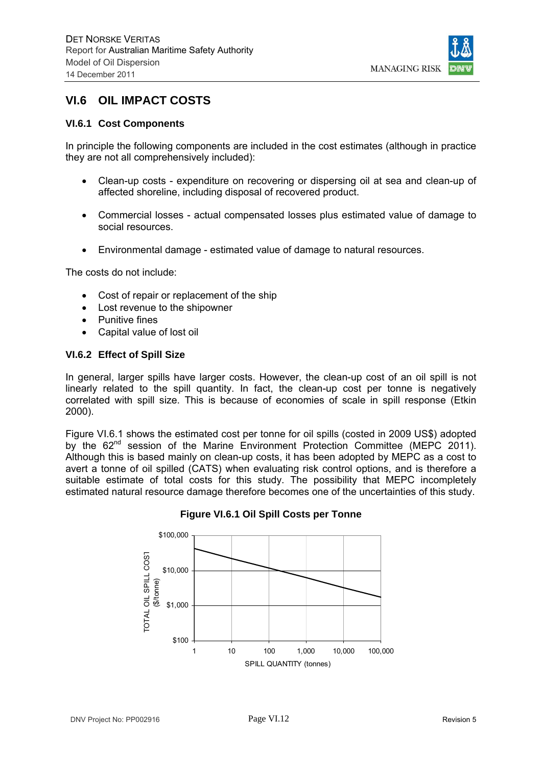

## **VI.6 OIL IMPACT COSTS**

### **VI.6.1 Cost Components**

In principle the following components are included in the cost estimates (although in practice they are not all comprehensively included):

- Clean-up costs expenditure on recovering or dispersing oil at sea and clean-up of affected shoreline, including disposal of recovered product.
- Commercial losses actual compensated losses plus estimated value of damage to social resources.
- Environmental damage estimated value of damage to natural resources.

The costs do not include:

- Cost of repair or replacement of the ship
- Lost revenue to the shipowner
- Punitive fines
- Capital value of lost oil

#### **VI.6.2 Effect of Spill Size**

In general, larger spills have larger costs. However, the clean-up cost of an oil spill is not linearly related to the spill quantity. In fact, the clean-up cost per tonne is negatively correlated with spill size. This is because of economies of scale in spill response (Etkin 2000).

Figure VI.6.1 shows the estimated cost per tonne for oil spills (costed in 2009 US\$) adopted by the 62<sup>nd</sup> session of the Marine Environment Protection Committee (MEPC 2011). Although this is based mainly on clean-up costs, it has been adopted by MEPC as a cost to avert a tonne of oil spilled (CATS) when evaluating risk control options, and is therefore a suitable estimate of total costs for this study. The possibility that MEPC incompletely estimated natural resource damage therefore becomes one of the uncertainties of this study.



#### **Figure VI.6.1 Oil Spill Costs per Tonne**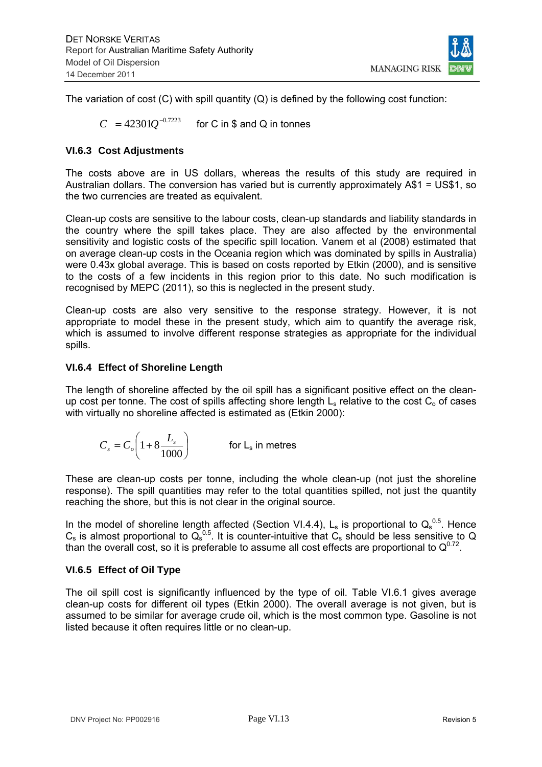

The variation of cost  $(C)$  with spill quantity  $(Q)$  is defined by the following cost function:

 $C = 423010^{-0.7223}$  for C in \$ and Q in tonnes

### **VI.6.3 Cost Adjustments**

The costs above are in US dollars, whereas the results of this study are required in Australian dollars. The conversion has varied but is currently approximately A\$1 = US\$1, so the two currencies are treated as equivalent.

Clean-up costs are sensitive to the labour costs, clean-up standards and liability standards in the country where the spill takes place. They are also affected by the environmental sensitivity and logistic costs of the specific spill location. Vanem et al (2008) estimated that on average clean-up costs in the Oceania region which was dominated by spills in Australia) were 0.43x global average. This is based on costs reported by Etkin (2000), and is sensitive to the costs of a few incidents in this region prior to this date. No such modification is recognised by MEPC (2011), so this is neglected in the present study.

Clean-up costs are also very sensitive to the response strategy. However, it is not appropriate to model these in the present study, which aim to quantify the average risk, which is assumed to involve different response strategies as appropriate for the individual spills.

#### **VI.6.4 Effect of Shoreline Length**

The length of shoreline affected by the oil spill has a significant positive effect on the cleanup cost per tonne. The cost of spills affecting shore length  $L_s$  relative to the cost  $C_0$  of cases with virtually no shoreline affected is estimated as (Etkin 2000):

$$
C_s = C_o \left( 1 + 8 \frac{L_s}{1000} \right) \qquad \text{for } L_s \text{ in metres}
$$

These are clean-up costs per tonne, including the whole clean-up (not just the shoreline response). The spill quantities may refer to the total quantities spilled, not just the quantity reaching the shore, but this is not clear in the original source.

In the model of shoreline length affected (Section VI.4.4),  $L_s$  is proportional to  $Q_s^{0.5}$ . Hence  $C_s$  is almost proportional to  $Q_s^{0.5}$ . It is counter-intuitive that  $C_s$  should be less sensitive to Q than the overall cost, so it is preferable to assume all cost effects are proportional to  $Q^{0.72}$ .

#### **VI.6.5 Effect of Oil Type**

The oil spill cost is significantly influenced by the type of oil. Table VI.6.1 gives average clean-up costs for different oil types (Etkin 2000). The overall average is not given, but is assumed to be similar for average crude oil, which is the most common type. Gasoline is not listed because it often requires little or no clean-up.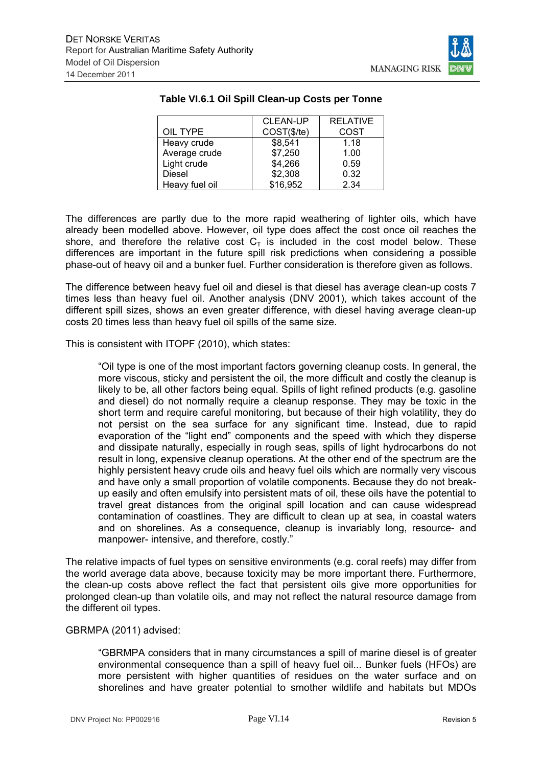

| šК<br>RI<br>C, |  |
|----------------|--|
|                |  |

|                | <b>CLEAN-UP</b> | <b>RELATIVE</b> |
|----------------|-----------------|-----------------|
| OIL TYPE       | COST(\$/te)     | COST            |
| Heavy crude    | \$8,541         | 1.18            |
| Average crude  | \$7,250         | 1.00            |
| Light crude    | \$4,266         | 0.59            |
| <b>Diesel</b>  | \$2,308         | 0.32            |
| Heavy fuel oil | \$16,952        | 2.34            |

### **Table VI.6.1 Oil Spill Clean-up Costs per Tonne**

The differences are partly due to the more rapid weathering of lighter oils, which have already been modelled above. However, oil type does affect the cost once oil reaches the shore, and therefore the relative cost  $C_T$  is included in the cost model below. These differences are important in the future spill risk predictions when considering a possible phase-out of heavy oil and a bunker fuel. Further consideration is therefore given as follows.

The difference between heavy fuel oil and diesel is that diesel has average clean-up costs 7 times less than heavy fuel oil. Another analysis (DNV 2001), which takes account of the different spill sizes, shows an even greater difference, with diesel having average clean-up costs 20 times less than heavy fuel oil spills of the same size.

This is consistent with ITOPF (2010), which states:

"Oil type is one of the most important factors governing cleanup costs. In general, the more viscous, sticky and persistent the oil, the more difficult and costly the cleanup is likely to be, all other factors being equal. Spills of light refined products (e.g. gasoline and diesel) do not normally require a cleanup response. They may be toxic in the short term and require careful monitoring, but because of their high volatility, they do not persist on the sea surface for any significant time. Instead, due to rapid evaporation of the "light end" components and the speed with which they disperse and dissipate naturally, especially in rough seas, spills of light hydrocarbons do not result in long, expensive cleanup operations. At the other end of the spectrum are the highly persistent heavy crude oils and heavy fuel oils which are normally very viscous and have only a small proportion of volatile components. Because they do not breakup easily and often emulsify into persistent mats of oil, these oils have the potential to travel great distances from the original spill location and can cause widespread contamination of coastlines. They are difficult to clean up at sea, in coastal waters and on shorelines. As a consequence, cleanup is invariably long, resource- and manpower- intensive, and therefore, costly."

The relative impacts of fuel types on sensitive environments (e.g. coral reefs) may differ from the world average data above, because toxicity may be more important there. Furthermore, the clean-up costs above reflect the fact that persistent oils give more opportunities for prolonged clean-up than volatile oils, and may not reflect the natural resource damage from the different oil types.

#### GBRMPA (2011) advised:

"GBRMPA considers that in many circumstances a spill of marine diesel is of greater environmental consequence than a spill of heavy fuel oil... Bunker fuels (HFOs) are more persistent with higher quantities of residues on the water surface and on shorelines and have greater potential to smother wildlife and habitats but MDOs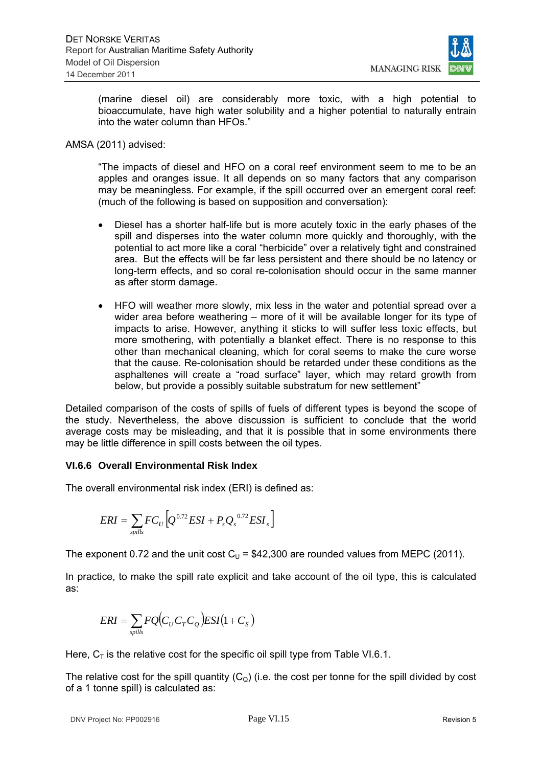

(marine diesel oil) are considerably more toxic, with a high potential to bioaccumulate, have high water solubility and a higher potential to naturally entrain into the water column than HFOs."

#### AMSA (2011) advised:

"The impacts of diesel and HFO on a coral reef environment seem to me to be an apples and oranges issue. It all depends on so many factors that any comparison may be meaningless. For example, if the spill occurred over an emergent coral reef: (much of the following is based on supposition and conversation):

- Diesel has a shorter half-life but is more acutely toxic in the early phases of the spill and disperses into the water column more quickly and thoroughly, with the potential to act more like a coral "herbicide" over a relatively tight and constrained area. But the effects will be far less persistent and there should be no latency or long-term effects, and so coral re-colonisation should occur in the same manner as after storm damage.
- HFO will weather more slowly, mix less in the water and potential spread over a wider area before weathering – more of it will be available longer for its type of impacts to arise. However, anything it sticks to will suffer less toxic effects, but more smothering, with potentially a blanket effect. There is no response to this other than mechanical cleaning, which for coral seems to make the cure worse that the cause. Re-colonisation should be retarded under these conditions as the asphaltenes will create a "road surface" layer, which may retard growth from below, but provide a possibly suitable substratum for new settlement"

Detailed comparison of the costs of spills of fuels of different types is beyond the scope of the study. Nevertheless, the above discussion is sufficient to conclude that the world average costs may be misleading, and that it is possible that in some environments there may be little difference in spill costs between the oil types.

## **VI.6.6 Overall Environmental Risk Index**

The overall environmental risk index (ERI) is defined as:

$$
ERI = \sum_{spills} FC_U \left[ Q^{0.72} ESI + P_s Q_s^{0.72} ESI_s \right]
$$

The exponent 0.72 and the unit cost  $C_{\text{U}}$  = \$42,300 are rounded values from MEPC (2011).

In practice, to make the spill rate explicit and take account of the oil type, this is calculated as:

$$
ERI = \sum_{spills} FQ(C_U C_T C_Q)ESI(1 + C_s)
$$

Here,  $C_T$  is the relative cost for the specific oil spill type from Table VI.6.1.

The relative cost for the spill quantity  $(C<sub>Q</sub>)$  (i.e. the cost per tonne for the spill divided by cost of a 1 tonne spill) is calculated as: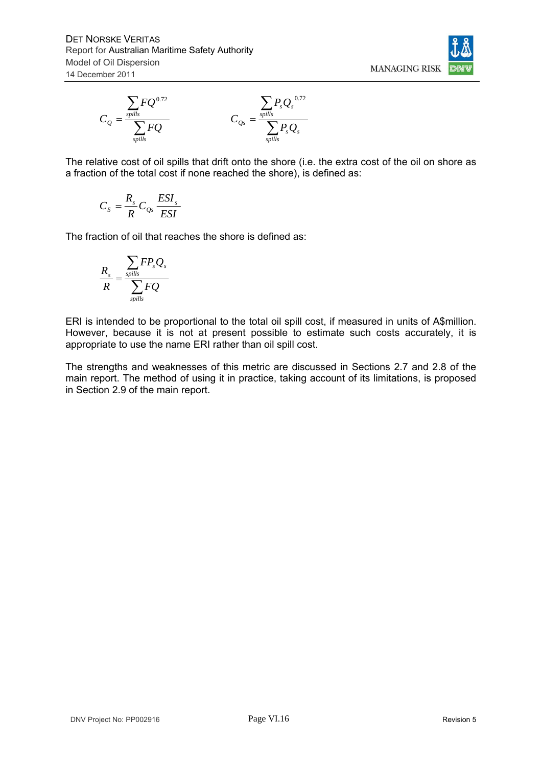



The relative cost of oil spills that drift onto the shore (i.e. the extra cost of the oil on shore as a fraction of the total cost if none reached the shore), is defined as:

$$
C_s = \frac{R_s}{R} C_{Qs} \frac{ESI_s}{ESI}
$$

The fraction of oil that reaches the shore is defined as:

$$
\frac{R_s}{R} = \frac{\sum_{spills} FP_s Q_s}{\sum_{spills} FQ}
$$

ERI is intended to be proportional to the total oil spill cost, if measured in units of A\$million. However, because it is not at present possible to estimate such costs accurately, it is appropriate to use the name ERI rather than oil spill cost.

The strengths and weaknesses of this metric are discussed in Sections 2.7 and 2.8 of the main report. The method of using it in practice, taking account of its limitations, is proposed in Section 2.9 of the main report.